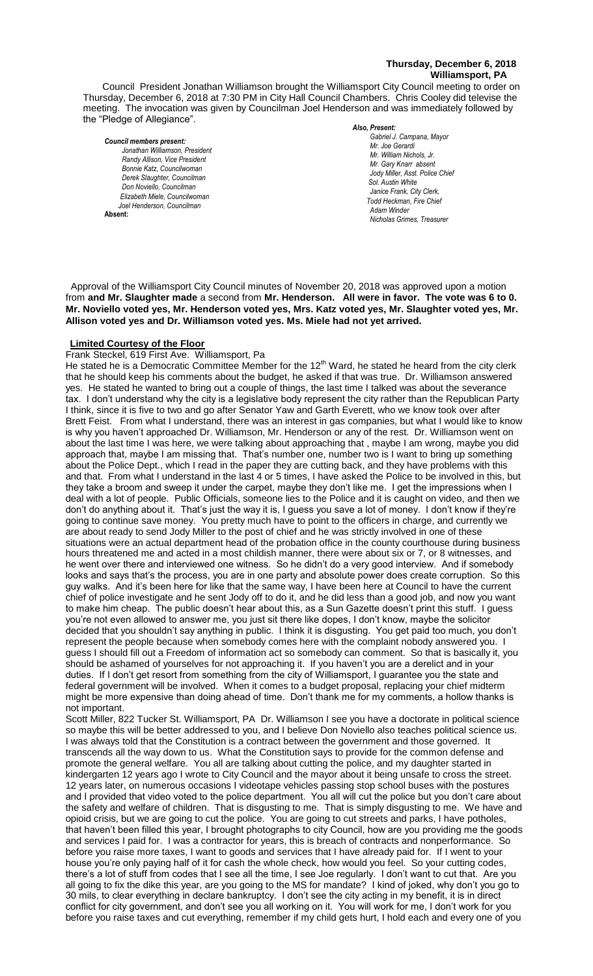## **Thursday, December 6, 2018 Williamsport, PA**

Council President Jonathan Williamson brought the Williamsport City Council meeting to order on Thursday, December 6, 2018 at 7:30 PM in City Hall Council Chambers. Chris Cooley did televise the meeting. The invocation was given by Councilman Joel Henderson and was immediately followed by the "Pledge of Allegiance".

#### *Council members present:*

*Jonathan Williamson, President*  **Randy Allison, Vice President** *Bonnie Katz, Councilwoman Derek Slaughter, Councilman Don Noviello, Councilman Elizabeth Miele, Councilwoman Joel Henderson, Councilman*  **Absent:** 

#### *Also, Present:*

Gabriel J. Campana, Mayor *Mr. Joe Gerardi Mr. Joseph Pawlak Mr. William Nichols, Jr. Mr. Joe Pawlak Mr. Gary Knarr absent Jody Miller, Asst. Police Chief Sol. Austin White Janice Frank, City Clerk, Todd Heckman, Fire Chief Adam Winder Nicholas Grimes, Treasurer*

Approval of the Williamsport City Council minutes of November 20, 2018 was approved upon a motion from **and Mr. Slaughter made** a second from **Mr. Henderson. All were in favor. The vote was 6 to 0.** *Dave Young, Police Chief Chief Heinbach absent* **Mr. Noviello voted yes, Mr. Henderson voted yes, Mrs. Katz voted yes, Mr. Slaughter voted yes, Mr.**  *Janice Frank, City Clerk, absent* **Allison voted yes and Dr. Williamson voted yes. Ms. Miele had not yet arrived.** *Todd Heckman, Fire Chief , Sol. J. David Smith*

#### **Limited Courtesy of the Floor**

# Frank Steckel, 619 First Ave. Williamsport, Pa

He stated he is a Democratic Committee Member for the  $12<sup>th</sup>$  Ward, he stated he heard from the city clerk that he should keep his comments about the budget, he asked if that was true. Dr. Williamson answered yes. He stated he wanted to bring out a couple of things, the last time I talked was about the severance fax. I don't understand why the city is a legislative body represent the city rather than the Republican Party I think, since it is five to two and go after Senator Yaw and Garth Everett, who we know took over after Brett Feist. From what I understand, there was an interest in gas companies, but what I would like to know is why you haven't approached Dr. Williamson, Mr. Henderson or any of the rest. Dr. Williamson went on about the last time I was here, we were talking about approaching that , maybe I am wrong, maybe you did approach that, maybe I am missing that. That's number one, number two is I want to bring up something about the Police Dept., which I read in the paper they are cutting back, and they have problems with this and that. From what I understand in the last 4 or 5 times, I have asked the Police to be involved in this, but they take a broom and sweep it under the carpet, maybe they don't like me. I get the impressions when I deal with a lot of people. Public Officials, someone lies to the Police and it is caught on video, and then we don't do anything about it. That's just the way it is, I guess you save a lot of money. I don't know if they're going to continue save money. You pretty much have to point to the officers in charge, and currently we are about ready to send Jody Miller to the post of chief and he was strictly involved in one of these situations were an actual department head of the probation office in the county courthouse during business hours threatened me and acted in a most childish manner, there were about six or 7, or 8 witnesses, and he went over there and interviewed one witness. So he didn't do a very good interview. And if somebody looks and says that's the process, you are in one party and absolute power does create corruption. So this guy walks. And it's been here for like that the same way, I have been here at Council to have the current chief of police investigate and he sent Jody off to do it, and he did less than a good job, and now you want to make him cheap. The public doesn't hear about this, as a Sun Gazette doesn't print this stuff. I guess you're not even allowed to answer me, you just sit there like dopes, I don't know, maybe the solicitor decided that you shouldn't say anything in public. I think it is disgusting. You get paid too much, you don't represent the people because when somebody comes here with the complaint nobody answered you. I guess I should fill out a Freedom of information act so somebody can comment. So that is basically it, you should be ashamed of yourselves for not approaching it. If you haven't you are a derelict and in your duties. If I don't get resort from something from the city of Williamsport, I guarantee you the state and federal government will be involved. When it comes to a budget proposal, replacing your chief midterm might be more expensive than doing ahead of time. Don't thank me for my comments, a hollow thanks is not important. *Members of the news media*

Scott Miller, 822 Tucker St. Williamsport, PA Dr. Williamson I see you have a doctorate in political science so maybe this will be better addressed to you, and I believe Don Noviello also teaches political science us. I was always told that the Constitution is a contract between the government and those governed. It transcends all the way down to us. What the Constitution says to provide for the common defense and promote the general welfare. You all are talking about cutting the police, and my daughter started in kindergarten 12 years ago I wrote to City Council and the mayor about it being unsafe to cross the street. 12 years later, on numerous occasions I videotape vehicles passing stop school buses with the postures and I provided that video voted to the police department. You all will cut the police but you don't care about the safety and welfare of children. That is disgusting to me. That is simply disgusting to me. We have and opioid crisis, but we are going to cut the police. You are going to cut streets and parks, I have potholes, that haven't been filled this year, I brought photographs to city Council, how are you providing me the goods and services I paid for. I was a contractor for years, this is breach of contracts and nonperformance. So before you raise more taxes, I want to goods and services that I have already paid for. If I went to your house you're only paying half of it for cash the whole check, how would you feel. So your cutting codes, there's a lot of stuff from codes that I see all the time, I see Joe regularly. I don't want to cut that. Are you all going to fix the dike this year, are you going to the MS for mandate? I kind of joked, why don't you go to 30 mils, to clear everything in declare bankruptcy. I don't see the city acting in my benefit, it is in direct conflict for city government, and don't see you all working on it. You will work for me, I don't work for you before you raise taxes and cut everything, remember if my child gets hurt, I hold each and every one of you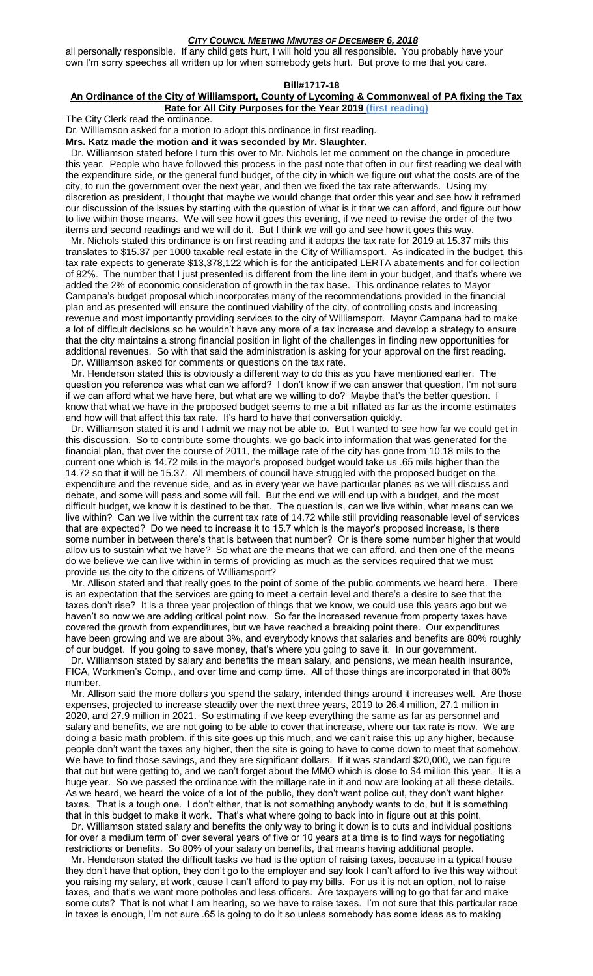all personally responsible. If any child gets hurt, I will hold you all responsible. You probably have your own I'm sorry speeches all written up for when somebody gets hurt. But prove to me that you care.

#### **Bill#1717-18**

#### **An Ordinance of the City of Williamsport, County of Lycoming & Commonweal of PA fixing the Tax Rate for All City Purposes for the Year 2019 (first reading)**

The City Clerk read the ordinance.

Dr. Williamson asked for a motion to adopt this ordinance in first reading.

#### **Mrs. Katz made the motion and it was seconded by Mr. Slaughter.**

 Dr. Williamson stated before I turn this over to Mr. Nichols let me comment on the change in procedure this year. People who have followed this process in the past note that often in our first reading we deal with the expenditure side, or the general fund budget, of the city in which we figure out what the costs are of the city, to run the government over the next year, and then we fixed the tax rate afterwards. Using my discretion as president, I thought that maybe we would change that order this year and see how it reframed our discussion of the issues by starting with the question of what is it that we can afford, and figure out how to live within those means. We will see how it goes this evening, if we need to revise the order of the two items and second readings and we will do it. But I think we will go and see how it goes this way.

 Mr. Nichols stated this ordinance is on first reading and it adopts the tax rate for 2019 at 15.37 mils this translates to \$15.37 per 1000 taxable real estate in the City of Williamsport. As indicated in the budget, this tax rate expects to generate \$13,378,122 which is for the anticipated LERTA abatements and for collection of 92%. The number that I just presented is different from the line item in your budget, and that's where we added the 2% of economic consideration of growth in the tax base. This ordinance relates to Mayor Campana's budget proposal which incorporates many of the recommendations provided in the financial plan and as presented will ensure the continued viability of the city, of controlling costs and increasing revenue and most importantly providing services to the city of Williamsport. Mayor Campana had to make a lot of difficult decisions so he wouldn't have any more of a tax increase and develop a strategy to ensure that the city maintains a strong financial position in light of the challenges in finding new opportunities for additional revenues. So with that said the administration is asking for your approval on the first reading. Dr. Williamson asked for comments or questions on the tax rate.

 Mr. Henderson stated this is obviously a different way to do this as you have mentioned earlier. The question you reference was what can we afford? I don't know if we can answer that question, I'm not sure if we can afford what we have here, but what are we willing to do? Maybe that's the better question. I know that what we have in the proposed budget seems to me a bit inflated as far as the income estimates and how will that affect this tax rate. It's hard to have that conversation quickly.

 Dr. Williamson stated it is and I admit we may not be able to. But I wanted to see how far we could get in this discussion. So to contribute some thoughts, we go back into information that was generated for the financial plan, that over the course of 2011, the millage rate of the city has gone from 10.18 mils to the current one which is 14.72 mils in the mayor's proposed budget would take us .65 mils higher than the 14.72 so that it will be 15.37. All members of council have struggled with the proposed budget on the expenditure and the revenue side, and as in every year we have particular planes as we will discuss and debate, and some will pass and some will fail. But the end we will end up with a budget, and the most difficult budget, we know it is destined to be that. The question is, can we live within, what means can we live within? Can we live within the current tax rate of 14.72 while still providing reasonable level of services that are expected? Do we need to increase it to 15.7 which is the mayor's proposed increase, is there some number in between there's that is between that number? Or is there some number higher that would allow us to sustain what we have? So what are the means that we can afford, and then one of the means do we believe we can live within in terms of providing as much as the services required that we must provide us the city to the citizens of Williamsport?

 Mr. Allison stated and that really goes to the point of some of the public comments we heard here. There is an expectation that the services are going to meet a certain level and there's a desire to see that the taxes don't rise? It is a three year projection of things that we know, we could use this years ago but we haven't so now we are adding critical point now. So far the increased revenue from property taxes have covered the growth from expenditures, but we have reached a breaking point there. Our expenditures have been growing and we are about 3%, and everybody knows that salaries and benefits are 80% roughly of our budget. If you going to save money, that's where you going to save it. In our government.

 Dr. Williamson stated by salary and benefits the mean salary, and pensions, we mean health insurance, FICA, Workmen's Comp., and over time and comp time. All of those things are incorporated in that 80% number.

 Mr. Allison said the more dollars you spend the salary, intended things around it increases well. Are those expenses, projected to increase steadily over the next three years, 2019 to 26.4 million, 27.1 million in 2020, and 27.9 million in 2021. So estimating if we keep everything the same as far as personnel and salary and benefits, we are not going to be able to cover that increase, where our tax rate is now. We are doing a basic math problem, if this site goes up this much, and we can't raise this up any higher, because people don't want the taxes any higher, then the site is going to have to come down to meet that somehow. We have to find those savings, and they are significant dollars. If it was standard \$20,000, we can figure that out but were getting to, and we can't forget about the MMO which is close to \$4 million this year. It is a huge year. So we passed the ordinance with the millage rate in it and now are looking at all these details. As we heard, we heard the voice of a lot of the public, they don't want police cut, they don't want higher taxes. That is a tough one. I don't either, that is not something anybody wants to do, but it is something that in this budget to make it work. That's what where going to back into in figure out at this point.

 Dr. Williamson stated salary and benefits the only way to bring it down is to cuts and individual positions for over a medium term of' over several years of five or 10 years at a time is to find ways for negotiating restrictions or benefits. So 80% of your salary on benefits, that means having additional people.

 Mr. Henderson stated the difficult tasks we had is the option of raising taxes, because in a typical house they don't have that option, they don't go to the employer and say look I can't afford to live this way without you raising my salary, at work, cause I can't afford to pay my bills. For us it is not an option, not to raise taxes, and that's we want more potholes and less officers. Are taxpayers willing to go that far and make some cuts? That is not what I am hearing, so we have to raise taxes. I'm not sure that this particular race in taxes is enough, I'm not sure .65 is going to do it so unless somebody has some ideas as to making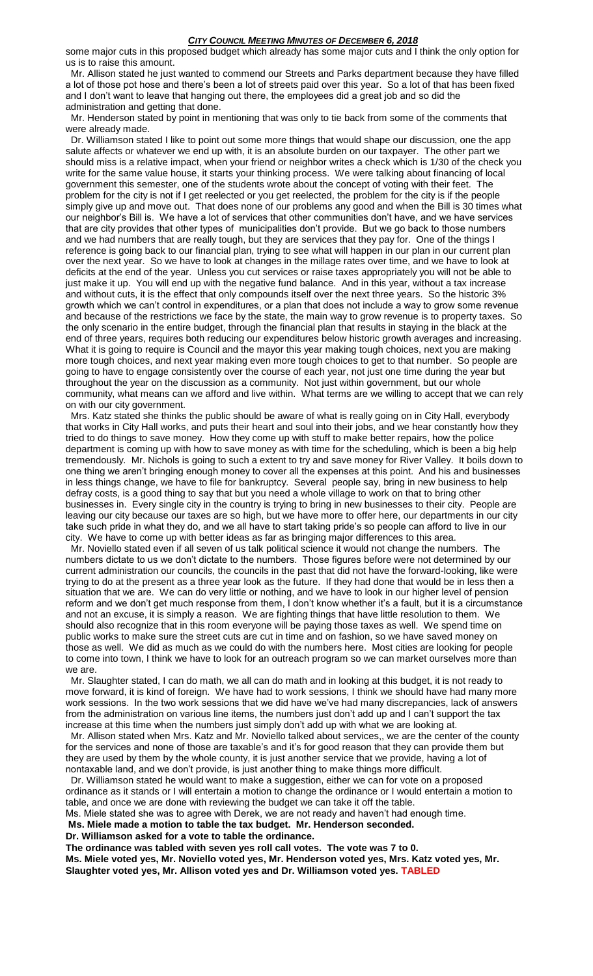some major cuts in this proposed budget which already has some major cuts and I think the only option for us is to raise this amount.

 Mr. Allison stated he just wanted to commend our Streets and Parks department because they have filled a lot of those pot hose and there's been a lot of streets paid over this year. So a lot of that has been fixed and I don't want to leave that hanging out there, the employees did a great job and so did the administration and getting that done.

 Mr. Henderson stated by point in mentioning that was only to tie back from some of the comments that were already made.

 Dr. Williamson stated I like to point out some more things that would shape our discussion, one the app salute affects or whatever we end up with, it is an absolute burden on our taxpayer. The other part we should miss is a relative impact, when your friend or neighbor writes a check which is 1/30 of the check you write for the same value house, it starts your thinking process. We were talking about financing of local government this semester, one of the students wrote about the concept of voting with their feet. The problem for the city is not if I get reelected or you get reelected, the problem for the city is if the people simply give up and move out. That does none of our problems any good and when the Bill is 30 times what our neighbor's Bill is. We have a lot of services that other communities don't have, and we have services that are city provides that other types of municipalities don't provide. But we go back to those numbers and we had numbers that are really tough, but they are services that they pay for. One of the things I reference is going back to our financial plan, trying to see what will happen in our plan in our current plan over the next year. So we have to look at changes in the millage rates over time, and we have to look at deficits at the end of the year. Unless you cut services or raise taxes appropriately you will not be able to just make it up. You will end up with the negative fund balance. And in this year, without a tax increase and without cuts, it is the effect that only compounds itself over the next three years. So the historic 3% growth which we can't control in expenditures, or a plan that does not include a way to grow some revenue and because of the restrictions we face by the state, the main way to grow revenue is to property taxes. So the only scenario in the entire budget, through the financial plan that results in staying in the black at the end of three years, requires both reducing our expenditures below historic growth averages and increasing. What it is going to require is Council and the mayor this year making tough choices, next you are making more tough choices, and next year making even more tough choices to get to that number. So people are going to have to engage consistently over the course of each year, not just one time during the year but throughout the year on the discussion as a community. Not just within government, but our whole community, what means can we afford and live within. What terms are we willing to accept that we can rely on with our city government.

 Mrs. Katz stated she thinks the public should be aware of what is really going on in City Hall, everybody that works in City Hall works, and puts their heart and soul into their jobs, and we hear constantly how they tried to do things to save money. How they come up with stuff to make better repairs, how the police department is coming up with how to save money as with time for the scheduling, which is been a big help tremendously. Mr. Nichols is going to such a extent to try and save money for River Valley. It boils down to one thing we aren't bringing enough money to cover all the expenses at this point. And his and businesses in less things change, we have to file for bankruptcy. Several people say, bring in new business to help defray costs, is a good thing to say that but you need a whole village to work on that to bring other businesses in. Every single city in the country is trying to bring in new businesses to their city. People are leaving our city because our taxes are so high, but we have more to offer here, our departments in our city take such pride in what they do, and we all have to start taking pride's so people can afford to live in our city. We have to come up with better ideas as far as bringing major differences to this area.

 Mr. Noviello stated even if all seven of us talk political science it would not change the numbers. The numbers dictate to us we don't dictate to the numbers. Those figures before were not determined by our current administration our councils, the councils in the past that did not have the forward-looking, like were trying to do at the present as a three year look as the future. If they had done that would be in less then a situation that we are. We can do very little or nothing, and we have to look in our higher level of pension reform and we don't get much response from them, I don't know whether it's a fault, but it is a circumstance and not an excuse, it is simply a reason. We are fighting things that have little resolution to them. We should also recognize that in this room everyone will be paying those taxes as well. We spend time on public works to make sure the street cuts are cut in time and on fashion, so we have saved money on those as well. We did as much as we could do with the numbers here. Most cities are looking for people to come into town, I think we have to look for an outreach program so we can market ourselves more than we are.

 Mr. Slaughter stated, I can do math, we all can do math and in looking at this budget, it is not ready to move forward, it is kind of foreign. We have had to work sessions, I think we should have had many more work sessions. In the two work sessions that we did have we've had many discrepancies, lack of answers from the administration on various line items, the numbers just don't add up and I can't support the tax increase at this time when the numbers just simply don't add up with what we are looking at.

 Mr. Allison stated when Mrs. Katz and Mr. Noviello talked about services,, we are the center of the county for the services and none of those are taxable's and it's for good reason that they can provide them but they are used by them by the whole county, it is just another service that we provide, having a lot of nontaxable land, and we don't provide, is just another thing to make things more difficult.

 Dr. Williamson stated he would want to make a suggestion, either we can for vote on a proposed ordinance as it stands or I will entertain a motion to change the ordinance or I would entertain a motion to table, and once we are done with reviewing the budget we can take it off the table.

Ms. Miele stated she was to agree with Derek, we are not ready and haven't had enough time.

**Ms. Miele made a motion to table the tax budget. Mr. Henderson seconded.**

**Dr. Williamson asked for a vote to table the ordinance.**

**The ordinance was tabled with seven yes roll call votes. The vote was 7 to 0.**

**Ms. Miele voted yes, Mr. Noviello voted yes, Mr. Henderson voted yes, Mrs. Katz voted yes, Mr. Slaughter voted yes, Mr. Allison voted yes and Dr. Williamson voted yes. TABLED**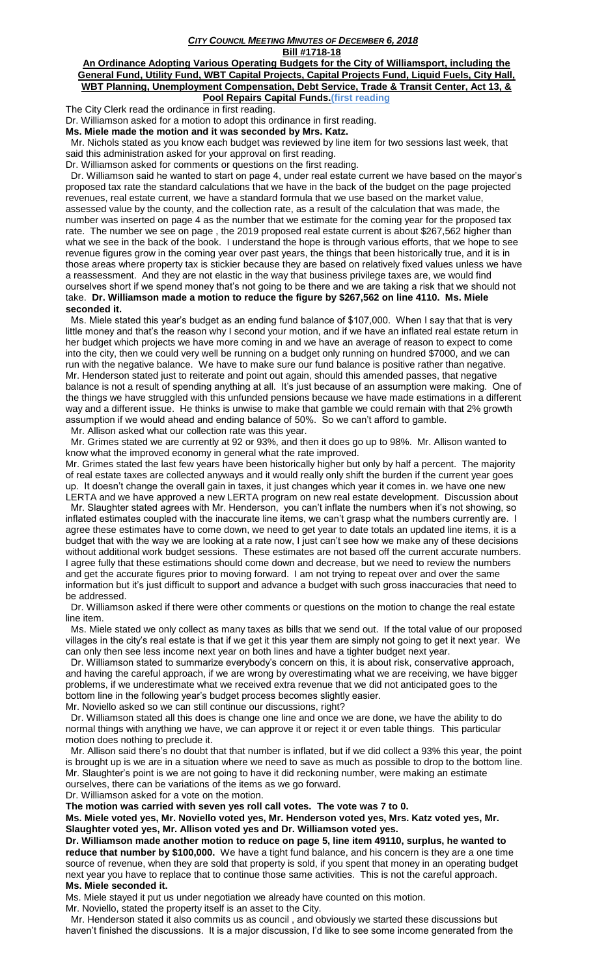**Bill #1718-18**

**An Ordinance Adopting Various Operating Budgets for the City of Williamsport, including the General Fund, Utility Fund, WBT Capital Projects, Capital Projects Fund, Liquid Fuels, City Hall, WBT Planning, Unemployment Compensation, Debt Service, Trade & Transit Center, Act 13, & Pool Repairs Capital Funds.(first reading**

The City Clerk read the ordinance in first reading.

Dr. Williamson asked for a motion to adopt this ordinance in first reading.

**Ms. Miele made the motion and it was seconded by Mrs. Katz.** 

 Mr. Nichols stated as you know each budget was reviewed by line item for two sessions last week, that said this administration asked for your approval on first reading.

Dr. Williamson asked for comments or questions on the first reading.

 Dr. Williamson said he wanted to start on page 4, under real estate current we have based on the mayor's proposed tax rate the standard calculations that we have in the back of the budget on the page projected revenues, real estate current, we have a standard formula that we use based on the market value, assessed value by the county, and the collection rate, as a result of the calculation that was made, the number was inserted on page 4 as the number that we estimate for the coming year for the proposed tax rate. The number we see on page , the 2019 proposed real estate current is about \$267,562 higher than what we see in the back of the book. I understand the hope is through various efforts, that we hope to see revenue figures grow in the coming year over past years, the things that been historically true, and it is in those areas where property tax is stickier because they are based on relatively fixed values unless we have a reassessment. And they are not elastic in the way that business privilege taxes are, we would find ourselves short if we spend money that's not going to be there and we are taking a risk that we should not take. **Dr. Williamson made a motion to reduce the figure by \$267,562 on line 4110. Ms. Miele seconded it.**

 Ms. Miele stated this year's budget as an ending fund balance of \$107,000. When I say that that is very little money and that's the reason why I second your motion, and if we have an inflated real estate return in her budget which projects we have more coming in and we have an average of reason to expect to come into the city, then we could very well be running on a budget only running on hundred \$7000, and we can run with the negative balance. We have to make sure our fund balance is positive rather than negative. Mr. Henderson stated just to reiterate and point out again, should this amended passes, that negative balance is not a result of spending anything at all. It's just because of an assumption were making. One of the things we have struggled with this unfunded pensions because we have made estimations in a different way and a different issue. He thinks is unwise to make that gamble we could remain with that 2% growth assumption if we would ahead and ending balance of 50%. So we can't afford to gamble.

Mr. Allison asked what our collection rate was this year.

 Mr. Grimes stated we are currently at 92 or 93%, and then it does go up to 98%. Mr. Allison wanted to know what the improved economy in general what the rate improved.

Mr. Grimes stated the last few years have been historically higher but only by half a percent. The majority of real estate taxes are collected anyways and it would really only shift the burden if the current year goes up. It doesn't change the overall gain in taxes, it just changes which year it comes in. we have one new LERTA and we have approved a new LERTA program on new real estate development. Discussion about

 Mr. Slaughter stated agrees with Mr. Henderson, you can't inflate the numbers when it's not showing, so inflated estimates coupled with the inaccurate line items, we can't grasp what the numbers currently are. I agree these estimates have to come down, we need to get year to date totals an updated line items, it is a budget that with the way we are looking at a rate now, I just can't see how we make any of these decisions without additional work budget sessions. These estimates are not based off the current accurate numbers. I agree fully that these estimations should come down and decrease, but we need to review the numbers and get the accurate figures prior to moving forward. I am not trying to repeat over and over the same information but it's just difficult to support and advance a budget with such gross inaccuracies that need to be addressed.

 Dr. Williamson asked if there were other comments or questions on the motion to change the real estate line item.

 Ms. Miele stated we only collect as many taxes as bills that we send out. If the total value of our proposed villages in the city's real estate is that if we get it this year them are simply not going to get it next year. We can only then see less income next year on both lines and have a tighter budget next year.

 Dr. Williamson stated to summarize everybody's concern on this, it is about risk, conservative approach, and having the careful approach, if we are wrong by overestimating what we are receiving, we have bigger problems, if we underestimate what we received extra revenue that we did not anticipated goes to the bottom line in the following year's budget process becomes slightly easier.

Mr. Noviello asked so we can still continue our discussions, right?

 Dr. Williamson stated all this does is change one line and once we are done, we have the ability to do normal things with anything we have, we can approve it or reject it or even table things. This particular motion does nothing to preclude it.

 Mr. Allison said there's no doubt that that number is inflated, but if we did collect a 93% this year, the point is brought up is we are in a situation where we need to save as much as possible to drop to the bottom line. Mr. Slaughter's point is we are not going to have it did reckoning number, were making an estimate ourselves, there can be variations of the items as we go forward.

Dr. Williamson asked for a vote on the motion.

**The motion was carried with seven yes roll call votes. The vote was 7 to 0.**

**Ms. Miele voted yes, Mr. Noviello voted yes, Mr. Henderson voted yes, Mrs. Katz voted yes, Mr. Slaughter voted yes, Mr. Allison voted yes and Dr. Williamson voted yes.**

**Dr. Williamson made another motion to reduce on page 5, line item 49110, surplus, he wanted to reduce that number by \$100,000.** We have a tight fund balance, and his concern is they are a one time source of revenue, when they are sold that property is sold, if you spent that money in an operating budget next year you have to replace that to continue those same activities. This is not the careful approach. **Ms. Miele seconded it.**

Ms. Miele stayed it put us under negotiation we already have counted on this motion.

Mr. Noviello, stated the property itself is an asset to the City.

 Mr. Henderson stated it also commits us as council , and obviously we started these discussions but haven't finished the discussions. It is a major discussion, I'd like to see some income generated from the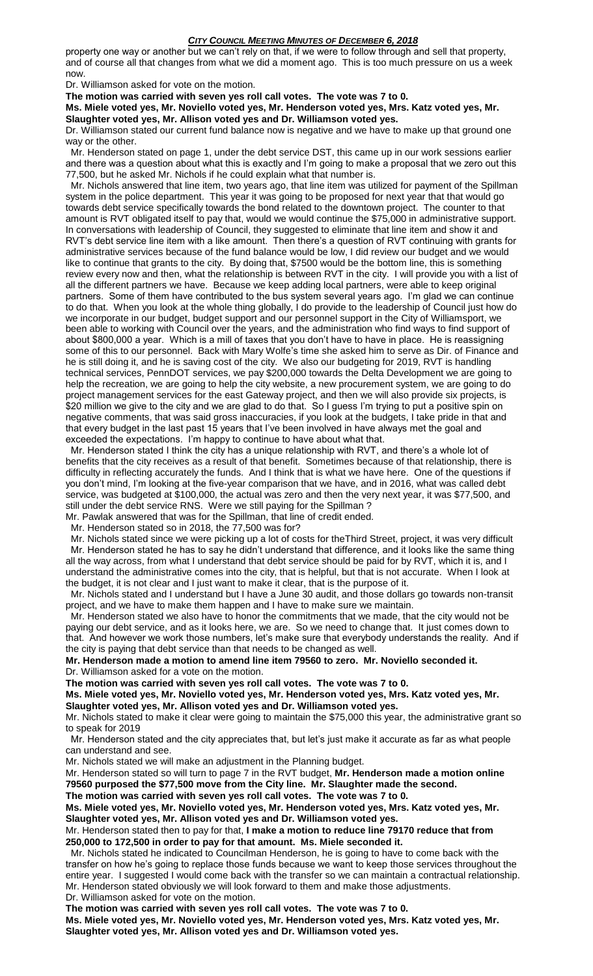property one way or another but we can't rely on that, if we were to follow through and sell that property, and of course all that changes from what we did a moment ago. This is too much pressure on us a week now.

Dr. Williamson asked for vote on the motion.

**The motion was carried with seven yes roll call votes. The vote was 7 to 0.**

**Ms. Miele voted yes, Mr. Noviello voted yes, Mr. Henderson voted yes, Mrs. Katz voted yes, Mr. Slaughter voted yes, Mr. Allison voted yes and Dr. Williamson voted yes.**

Dr. Williamson stated our current fund balance now is negative and we have to make up that ground one way or the other.

 Mr. Henderson stated on page 1, under the debt service DST, this came up in our work sessions earlier and there was a question about what this is exactly and I'm going to make a proposal that we zero out this 77,500, but he asked Mr. Nichols if he could explain what that number is.

 Mr. Nichols answered that line item, two years ago, that line item was utilized for payment of the Spillman system in the police department. This year it was going to be proposed for next year that that would go towards debt service specifically towards the bond related to the downtown project. The counter to that amount is RVT obligated itself to pay that, would we would continue the \$75,000 in administrative support. In conversations with leadership of Council, they suggested to eliminate that line item and show it and RVT's debt service line item with a like amount. Then there's a question of RVT continuing with grants for administrative services because of the fund balance would be low, I did review our budget and we would like to continue that grants to the city. By doing that, \$7500 would be the bottom line, this is something review every now and then, what the relationship is between RVT in the city. I will provide you with a list of all the different partners we have. Because we keep adding local partners, were able to keep original partners. Some of them have contributed to the bus system several years ago. I'm glad we can continue to do that. When you look at the whole thing globally, I do provide to the leadership of Council just how do we incorporate in our budget, budget support and our personnel support in the City of Williamsport, we been able to working with Council over the years, and the administration who find ways to find support of about \$800,000 a year. Which is a mill of taxes that you don't have to have in place. He is reassigning some of this to our personnel. Back with Mary Wolfe's time she asked him to serve as Dir. of Finance and he is still doing it, and he is saving cost of the city. We also our budgeting for 2019, RVT is handling technical services, PennDOT services, we pay \$200,000 towards the Delta Development we are going to help the recreation, we are going to help the city website, a new procurement system, we are going to do project management services for the east Gateway project, and then we will also provide six projects, is \$20 million we give to the city and we are glad to do that. So I guess I'm trying to put a positive spin on negative comments, that was said gross inaccuracies, if you look at the budgets, I take pride in that and that every budget in the last past 15 years that I've been involved in have always met the goal and exceeded the expectations. I'm happy to continue to have about what that.

 Mr. Henderson stated I think the city has a unique relationship with RVT, and there's a whole lot of benefits that the city receives as a result of that benefit. Sometimes because of that relationship, there is difficulty in reflecting accurately the funds. And I think that is what we have here. One of the questions if you don't mind, I'm looking at the five-year comparison that we have, and in 2016, what was called debt service, was budgeted at \$100,000, the actual was zero and then the very next year, it was \$77,500, and still under the debt service RNS. Were we still paying for the Spillman?

Mr. Pawlak answered that was for the Spillman, that line of credit ended.

Mr. Henderson stated so in 2018, the 77,500 was for?

 Mr. Nichols stated since we were picking up a lot of costs for theThird Street, project, it was very difficult Mr. Henderson stated he has to say he didn't understand that difference, and it looks like the same thing all the way across, from what I understand that debt service should be paid for by RVT, which it is, and I understand the administrative comes into the city, that is helpful, but that is not accurate. When I look at the budget, it is not clear and I just want to make it clear, that is the purpose of it.

 Mr. Nichols stated and I understand but I have a June 30 audit, and those dollars go towards non-transit project, and we have to make them happen and I have to make sure we maintain.

 Mr. Henderson stated we also have to honor the commitments that we made, that the city would not be paying our debt service, and as it looks here, we are. So we need to change that. It just comes down to that. And however we work those numbers, let's make sure that everybody understands the reality. And if the city is paying that debt service than that needs to be changed as well.

**Mr. Henderson made a motion to amend line item 79560 to zero. Mr. Noviello seconded it.** Dr. Williamson asked for a vote on the motion.

**The motion was carried with seven yes roll call votes. The vote was 7 to 0.**

**Ms. Miele voted yes, Mr. Noviello voted yes, Mr. Henderson voted yes, Mrs. Katz voted yes, Mr. Slaughter voted yes, Mr. Allison voted yes and Dr. Williamson voted yes.**

Mr. Nichols stated to make it clear were going to maintain the \$75,000 this year, the administrative grant so to speak for 2019

 Mr. Henderson stated and the city appreciates that, but let's just make it accurate as far as what people can understand and see.

Mr. Nichols stated we will make an adjustment in the Planning budget.

Mr. Henderson stated so will turn to page 7 in the RVT budget, **Mr. Henderson made a motion online 79560 purposed the \$77,500 move from the City line. Mr. Slaughter made the second.**

**The motion was carried with seven yes roll call votes. The vote was 7 to 0.**

**Ms. Miele voted yes, Mr. Noviello voted yes, Mr. Henderson voted yes, Mrs. Katz voted yes, Mr. Slaughter voted yes, Mr. Allison voted yes and Dr. Williamson voted yes.**

Mr. Henderson stated then to pay for that, **I make a motion to reduce line 79170 reduce that from 250,000 to 172,500 in order to pay for that amount. Ms. Miele seconded it.** 

 Mr. Nichols stated he indicated to Councilman Henderson, he is going to have to come back with the transfer on how he's going to replace those funds because we want to keep those services throughout the entire year. I suggested I would come back with the transfer so we can maintain a contractual relationship. Mr. Henderson stated obviously we will look forward to them and make those adjustments. Dr. Williamson asked for vote on the motion.

**The motion was carried with seven yes roll call votes. The vote was 7 to 0.**

**Ms. Miele voted yes, Mr. Noviello voted yes, Mr. Henderson voted yes, Mrs. Katz voted yes, Mr. Slaughter voted yes, Mr. Allison voted yes and Dr. Williamson voted yes.**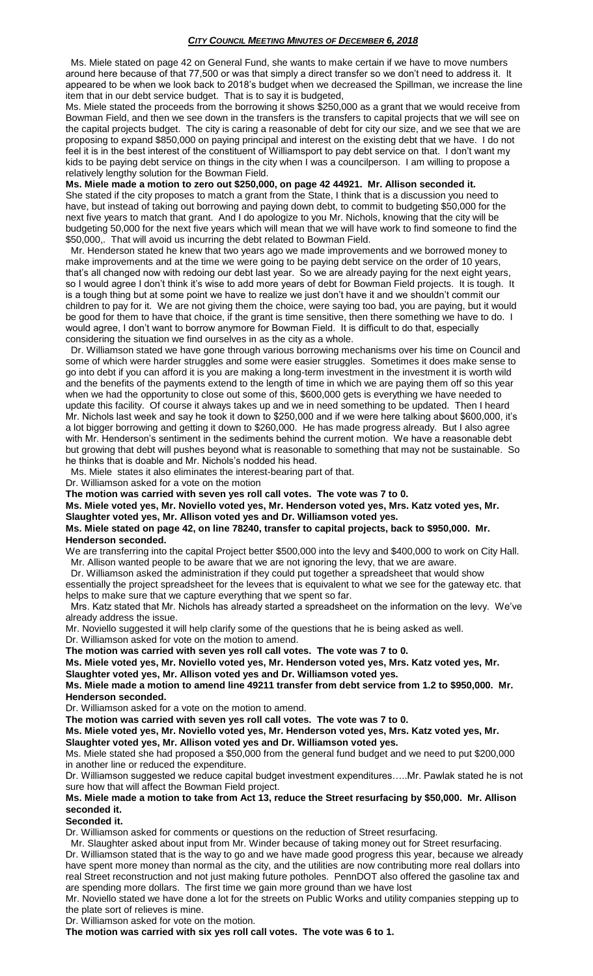Ms. Miele stated on page 42 on General Fund, she wants to make certain if we have to move numbers around here because of that 77,500 or was that simply a direct transfer so we don't need to address it. It appeared to be when we look back to 2018's budget when we decreased the Spillman, we increase the line item that in our debt service budget. That is to say it is budgeted,

Ms. Miele stated the proceeds from the borrowing it shows \$250,000 as a grant that we would receive from Bowman Field, and then we see down in the transfers is the transfers to capital projects that we will see on the capital projects budget. The city is caring a reasonable of debt for city our size, and we see that we are proposing to expand \$850,000 on paying principal and interest on the existing debt that we have. I do not feel it is in the best interest of the constituent of Williamsport to pay debt service on that. I don't want my kids to be paying debt service on things in the city when I was a councilperson. I am willing to propose a relatively lengthy solution for the Bowman Field.

**Ms. Miele made a motion to zero out \$250,000, on page 42 44921. Mr. Allison seconded it.**  She stated if the city proposes to match a grant from the State, I think that is a discussion you need to have, but instead of taking out borrowing and paying down debt, to commit to budgeting \$50,000 for the next five years to match that grant. And I do apologize to you Mr. Nichols, knowing that the city will be budgeting 50,000 for the next five years which will mean that we will have work to find someone to find the \$50,000,. That will avoid us incurring the debt related to Bowman Field.

 Mr. Henderson stated he knew that two years ago we made improvements and we borrowed money to make improvements and at the time we were going to be paying debt service on the order of 10 years, that's all changed now with redoing our debt last year. So we are already paying for the next eight years, so I would agree I don't think it's wise to add more years of debt for Bowman Field projects. It is tough. It is a tough thing but at some point we have to realize we just don't have it and we shouldn't commit our children to pay for it. We are not giving them the choice, were saying too bad, you are paying, but it would be good for them to have that choice, if the grant is time sensitive, then there something we have to do. I would agree, I don't want to borrow anymore for Bowman Field. It is difficult to do that, especially considering the situation we find ourselves in as the city as a whole.

 Dr. Williamson stated we have gone through various borrowing mechanisms over his time on Council and some of which were harder struggles and some were easier struggles. Sometimes it does make sense to go into debt if you can afford it is you are making a long-term investment in the investment it is worth wild and the benefits of the payments extend to the length of time in which we are paying them off so this year when we had the opportunity to close out some of this, \$600,000 gets is everything we have needed to update this facility. Of course it always takes up and we in need something to be updated. Then I heard Mr. Nichols last week and say he took it down to \$250,000 and if we were here talking about \$600,000, it's a lot bigger borrowing and getting it down to \$260,000. He has made progress already. But I also agree with Mr. Henderson's sentiment in the sediments behind the current motion. We have a reasonable debt but growing that debt will pushes beyond what is reasonable to something that may not be sustainable. So he thinks that is doable and Mr. Nichols's nodded his head.

Ms. Miele states it also eliminates the interest-bearing part of that.

Dr. Williamson asked for a vote on the motion

**The motion was carried with seven yes roll call votes. The vote was 7 to 0.**

**Ms. Miele voted yes, Mr. Noviello voted yes, Mr. Henderson voted yes, Mrs. Katz voted yes, Mr. Slaughter voted yes, Mr. Allison voted yes and Dr. Williamson voted yes.**

## **Ms. Miele stated on page 42, on line 78240, transfer to capital projects, back to \$950,000. Mr. Henderson seconded.**

We are transferring into the capital Project better \$500,000 into the levy and \$400,000 to work on City Hall. Mr. Allison wanted people to be aware that we are not ignoring the levy, that we are aware.

 Dr. Williamson asked the administration if they could put together a spreadsheet that would show essentially the project spreadsheet for the levees that is equivalent to what we see for the gateway etc. that helps to make sure that we capture everything that we spent so far.

 Mrs. Katz stated that Mr. Nichols has already started a spreadsheet on the information on the levy. We've already address the issue.

Mr. Noviello suggested it will help clarify some of the questions that he is being asked as well.

Dr. Williamson asked for vote on the motion to amend.

**The motion was carried with seven yes roll call votes. The vote was 7 to 0.**

**Ms. Miele voted yes, Mr. Noviello voted yes, Mr. Henderson voted yes, Mrs. Katz voted yes, Mr. Slaughter voted yes, Mr. Allison voted yes and Dr. Williamson voted yes.**

**Ms. Miele made a motion to amend line 49211 transfer from debt service from 1.2 to \$950,000. Mr.** 

**Henderson seconded.**

Dr. Williamson asked for a vote on the motion to amend.

**The motion was carried with seven yes roll call votes. The vote was 7 to 0.**

**Ms. Miele voted yes, Mr. Noviello voted yes, Mr. Henderson voted yes, Mrs. Katz voted yes, Mr.** 

**Slaughter voted yes, Mr. Allison voted yes and Dr. Williamson voted yes.**

Ms. Miele stated she had proposed a \$50,000 from the general fund budget and we need to put \$200,000 in another line or reduced the expenditure.

Dr. Williamson suggested we reduce capital budget investment expenditures…..Mr. Pawlak stated he is not sure how that will affect the Bowman Field project.

## **Ms. Miele made a motion to take from Act 13, reduce the Street resurfacing by \$50,000. Mr. Allison seconded it.**

### **Seconded it.**

Dr. Williamson asked for comments or questions on the reduction of Street resurfacing.

 Mr. Slaughter asked about input from Mr. Winder because of taking money out for Street resurfacing. Dr. Williamson stated that is the way to go and we have made good progress this year, because we already have spent more money than normal as the city, and the utilities are now contributing more real dollars into real Street reconstruction and not just making future potholes. PennDOT also offered the gasoline tax and are spending more dollars. The first time we gain more ground than we have lost

Mr. Noviello stated we have done a lot for the streets on Public Works and utility companies stepping up to the plate sort of relieves is mine.

Dr. Williamson asked for vote on the motion.

**The motion was carried with six yes roll call votes. The vote was 6 to 1.**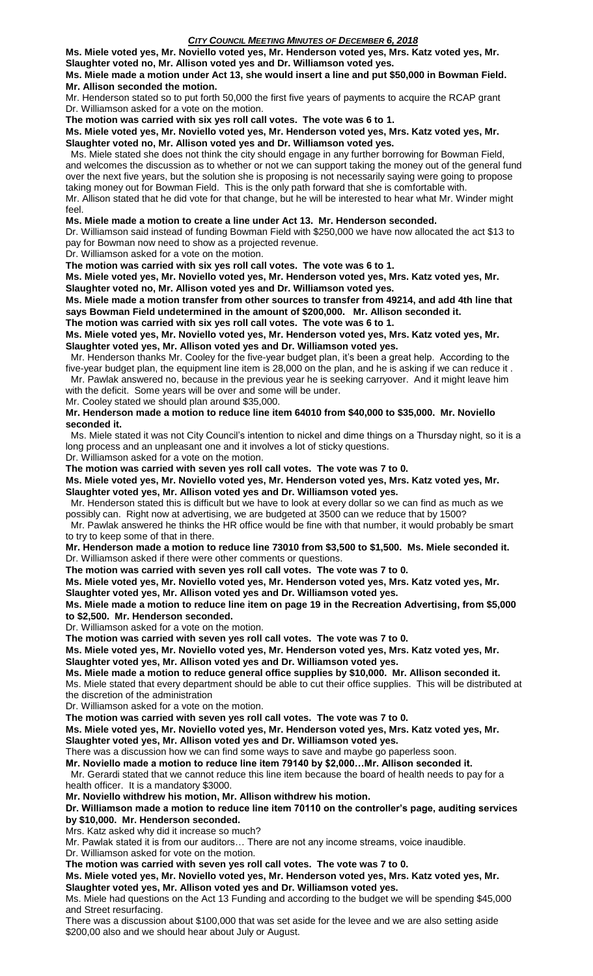**Ms. Miele voted yes, Mr. Noviello voted yes, Mr. Henderson voted yes, Mrs. Katz voted yes, Mr. Slaughter voted no, Mr. Allison voted yes and Dr. Williamson voted yes.**

**Ms. Miele made a motion under Act 13, she would insert a line and put \$50,000 in Bowman Field. Mr. Allison seconded the motion.**

Mr. Henderson stated so to put forth 50,000 the first five years of payments to acquire the RCAP grant Dr. Williamson asked for a vote on the motion.

**The motion was carried with six yes roll call votes. The vote was 6 to 1.**

**Ms. Miele voted yes, Mr. Noviello voted yes, Mr. Henderson voted yes, Mrs. Katz voted yes, Mr. Slaughter voted no, Mr. Allison voted yes and Dr. Williamson voted yes.**

 Ms. Miele stated she does not think the city should engage in any further borrowing for Bowman Field, and welcomes the discussion as to whether or not we can support taking the money out of the general fund over the next five years, but the solution she is proposing is not necessarily saying were going to propose taking money out for Bowman Field. This is the only path forward that she is comfortable with. Mr. Allison stated that he did vote for that change, but he will be interested to hear what Mr. Winder might feel.

**Ms. Miele made a motion to create a line under Act 13. Mr. Henderson seconded.**

Dr. Williamson said instead of funding Bowman Field with \$250,000 we have now allocated the act \$13 to pay for Bowman now need to show as a projected revenue.

Dr. Williamson asked for a vote on the motion.

**The motion was carried with six yes roll call votes. The vote was 6 to 1.**

**Ms. Miele voted yes, Mr. Noviello voted yes, Mr. Henderson voted yes, Mrs. Katz voted yes, Mr. Slaughter voted no, Mr. Allison voted yes and Dr. Williamson voted yes.**

**Ms. Miele made a motion transfer from other sources to transfer from 49214, and add 4th line that says Bowman Field undetermined in the amount of \$200,000. Mr. Allison seconded it.**

**The motion was carried with six yes roll call votes. The vote was 6 to 1.**

**Ms. Miele voted yes, Mr. Noviello voted yes, Mr. Henderson voted yes, Mrs. Katz voted yes, Mr. Slaughter voted yes, Mr. Allison voted yes and Dr. Williamson voted yes.**

 Mr. Henderson thanks Mr. Cooley for the five-year budget plan, it's been a great help. According to the five-year budget plan, the equipment line item is 28,000 on the plan, and he is asking if we can reduce it . Mr. Pawlak answered no, because in the previous year he is seeking carryover. And it might leave him

with the deficit. Some years will be over and some will be under.

Mr. Cooley stated we should plan around \$35,000.

**Mr. Henderson made a motion to reduce line item 64010 from \$40,000 to \$35,000. Mr. Noviello seconded it.** 

 Ms. Miele stated it was not City Council's intention to nickel and dime things on a Thursday night, so it is a long process and an unpleasant one and it involves a lot of sticky questions.

Dr. Williamson asked for a vote on the motion.

**The motion was carried with seven yes roll call votes. The vote was 7 to 0.**

**Ms. Miele voted yes, Mr. Noviello voted yes, Mr. Henderson voted yes, Mrs. Katz voted yes, Mr. Slaughter voted yes, Mr. Allison voted yes and Dr. Williamson voted yes.**

 Mr. Henderson stated this is difficult but we have to look at every dollar so we can find as much as we possibly can. Right now at advertising, we are budgeted at 3500 can we reduce that by 1500?

 Mr. Pawlak answered he thinks the HR office would be fine with that number, it would probably be smart to try to keep some of that in there.

**Mr. Henderson made a motion to reduce line 73010 from \$3,500 to \$1,500. Ms. Miele seconded it.** Dr. Williamson asked if there were other comments or questions.

**The motion was carried with seven yes roll call votes. The vote was 7 to 0.**

**Ms. Miele voted yes, Mr. Noviello voted yes, Mr. Henderson voted yes, Mrs. Katz voted yes, Mr.** 

**Slaughter voted yes, Mr. Allison voted yes and Dr. Williamson voted yes.**

**Ms. Miele made a motion to reduce line item on page 19 in the Recreation Advertising, from \$5,000 to \$2,500. Mr. Henderson seconded.**

Dr. Williamson asked for a vote on the motion.

**The motion was carried with seven yes roll call votes. The vote was 7 to 0.**

**Ms. Miele voted yes, Mr. Noviello voted yes, Mr. Henderson voted yes, Mrs. Katz voted yes, Mr. Slaughter voted yes, Mr. Allison voted yes and Dr. Williamson voted yes.**

**Ms. Miele made a motion to reduce general office supplies by \$10,000. Mr. Allison seconded it.** 

Ms. Miele stated that every department should be able to cut their office supplies. This will be distributed at the discretion of the administration

Dr. Williamson asked for a vote on the motion.

**The motion was carried with seven yes roll call votes. The vote was 7 to 0.**

**Ms. Miele voted yes, Mr. Noviello voted yes, Mr. Henderson voted yes, Mrs. Katz voted yes, Mr.** 

**Slaughter voted yes, Mr. Allison voted yes and Dr. Williamson voted yes.**

There was a discussion how we can find some ways to save and maybe go paperless soon.

**Mr. Noviello made a motion to reduce line item 79140 by \$2,000…Mr. Allison seconded it.**

 Mr. Gerardi stated that we cannot reduce this line item because the board of health needs to pay for a health officer. It is a mandatory \$3000.

**Mr. Noviello withdrew his motion, Mr. Allison withdrew his motion.**

**Dr. Williamson made a motion to reduce line item 70110 on the controller's page, auditing services by \$10,000. Mr. Henderson seconded.**

Mrs. Katz asked why did it increase so much?

Mr. Pawlak stated it is from our auditors… There are not any income streams, voice inaudible.

Dr. Williamson asked for vote on the motion.

**The motion was carried with seven yes roll call votes. The vote was 7 to 0.**

**Ms. Miele voted yes, Mr. Noviello voted yes, Mr. Henderson voted yes, Mrs. Katz voted yes, Mr.** 

**Slaughter voted yes, Mr. Allison voted yes and Dr. Williamson voted yes.** Ms. Miele had questions on the Act 13 Funding and according to the budget we will be spending \$45,000 and Street resurfacing.

There was a discussion about \$100,000 that was set aside for the levee and we are also setting aside \$200,00 also and we should hear about July or August.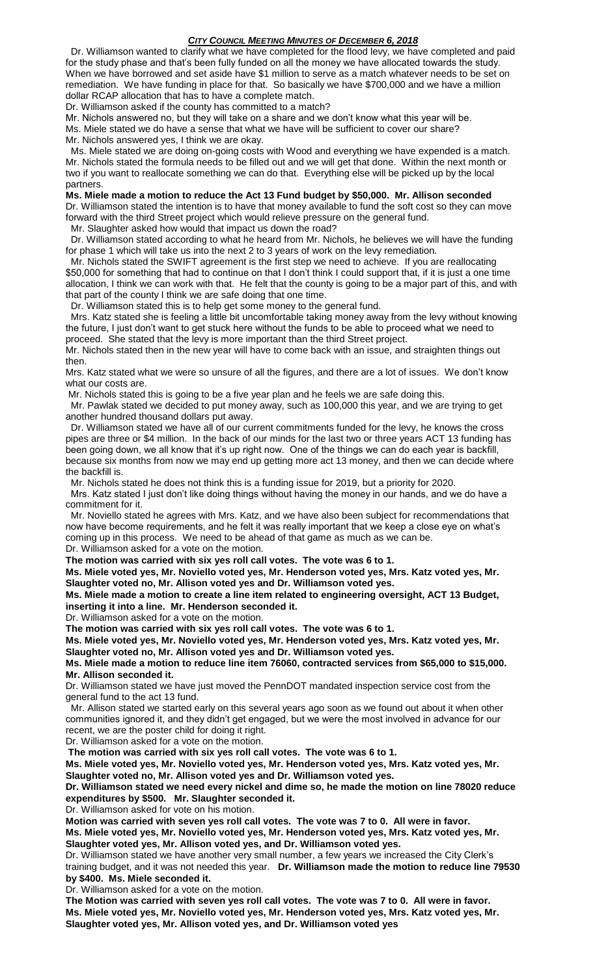Dr. Williamson wanted to clarify what we have completed for the flood levy, we have completed and paid for the study phase and that's been fully funded on all the money we have allocated towards the study. When we have borrowed and set aside have \$1 million to serve as a match whatever needs to be set on remediation. We have funding in place for that. So basically we have \$700,000 and we have a million dollar RCAP allocation that has to have a complete match.

Dr. Williamson asked if the county has committed to a match?

Mr. Nichols answered no, but they will take on a share and we don't know what this year will be. Ms. Miele stated we do have a sense that what we have will be sufficient to cover our share? Mr. Nichols answered yes, I think we are okay.

 Ms. Miele stated we are doing on-going costs with Wood and everything we have expended is a match. Mr. Nichols stated the formula needs to be filled out and we will get that done. Within the next month or two if you want to reallocate something we can do that. Everything else will be picked up by the local partners.

**Ms. Miele made a motion to reduce the Act 13 Fund budget by \$50,000. Mr. Allison seconded** Dr. Williamson stated the intention is to have that money available to fund the soft cost so they can move forward with the third Street project which would relieve pressure on the general fund.

Mr. Slaughter asked how would that impact us down the road?

 Dr. Williamson stated according to what he heard from Mr. Nichols, he believes we will have the funding for phase 1 which will take us into the next 2 to 3 years of work on the levy remediation.

Mr. Nichols stated the SWIFT agreement is the first step we need to achieve. If you are reallocating \$50,000 for something that had to continue on that I don't think I could support that, if it is just a one time allocation, I think we can work with that. He felt that the county is going to be a major part of this, and with that part of the county I think we are safe doing that one time.

Dr. Williamson stated this is to help get some money to the general fund.

 Mrs. Katz stated she is feeling a little bit uncomfortable taking money away from the levy without knowing the future, I just don't want to get stuck here without the funds to be able to proceed what we need to proceed. She stated that the levy is more important than the third Street project.

Mr. Nichols stated then in the new year will have to come back with an issue, and straighten things out then.

Mrs. Katz stated what we were so unsure of all the figures, and there are a lot of issues. We don't know what our costs are.

Mr. Nichols stated this is going to be a five year plan and he feels we are safe doing this.

 Mr. Pawlak stated we decided to put money away, such as 100,000 this year, and we are trying to get another hundred thousand dollars put away.

 Dr. Williamson stated we have all of our current commitments funded for the levy, he knows the cross pipes are three or \$4 million. In the back of our minds for the last two or three years ACT 13 funding has been going down, we all know that it's up right now. One of the things we can do each year is backfill, because six months from now we may end up getting more act 13 money, and then we can decide where the backfill is.

Mr. Nichols stated he does not think this is a funding issue for 2019, but a priority for 2020.

 Mrs. Katz stated I just don't like doing things without having the money in our hands, and we do have a commitment for it.

 Mr. Noviello stated he agrees with Mrs. Katz, and we have also been subject for recommendations that now have become requirements, and he felt it was really important that we keep a close eye on what's coming up in this process. We need to be ahead of that game as much as we can be. Dr. Williamson asked for a vote on the motion.

**The motion was carried with six yes roll call votes. The vote was 6 to 1.**

**Ms. Miele voted yes, Mr. Noviello voted yes, Mr. Henderson voted yes, Mrs. Katz voted yes, Mr. Slaughter voted no, Mr. Allison voted yes and Dr. Williamson voted yes.**

**Ms. Miele made a motion to create a line item related to engineering oversight, ACT 13 Budget, inserting it into a line. Mr. Henderson seconded it.**

Dr. Williamson asked for a vote on the motion.

**The motion was carried with six yes roll call votes. The vote was 6 to 1.**

**Ms. Miele voted yes, Mr. Noviello voted yes, Mr. Henderson voted yes, Mrs. Katz voted yes, Mr. Slaughter voted no, Mr. Allison voted yes and Dr. Williamson voted yes.**

**Ms. Miele made a motion to reduce line item 76060, contracted services from \$65,000 to \$15,000. Mr. Allison seconded it.**

Dr. Williamson stated we have just moved the PennDOT mandated inspection service cost from the general fund to the act 13 fund.

 Mr. Allison stated we started early on this several years ago soon as we found out about it when other communities ignored it, and they didn't get engaged, but we were the most involved in advance for our recent, we are the poster child for doing it right.

Dr. Williamson asked for a vote on the motion.

**The motion was carried with six yes roll call votes. The vote was 6 to 1.**

**Ms. Miele voted yes, Mr. Noviello voted yes, Mr. Henderson voted yes, Mrs. Katz voted yes, Mr. Slaughter voted no, Mr. Allison voted yes and Dr. Williamson voted yes.**

**Dr. Williamson stated we need every nickel and dime so, he made the motion on line 78020 reduce expenditures by \$500. Mr. Slaughter seconded it.**

Dr. Williamson asked for vote on his motion.

**Motion was carried with seven yes roll call votes. The vote was 7 to 0. All were in favor.**

**Ms. Miele voted yes, Mr. Noviello voted yes, Mr. Henderson voted yes, Mrs. Katz voted yes, Mr. Slaughter voted yes, Mr. Allison voted yes, and Dr. Williamson voted yes.**

Dr. Williamson stated we have another very small number, a few years we increased the City Clerk's training budget, and it was not needed this year. **Dr. Williamson made the motion to reduce line 79530 by \$400. Ms. Miele seconded it.**

Dr. Williamson asked for a vote on the motion.

**The Motion was carried with seven yes roll call votes. The vote was 7 to 0. All were in favor. Ms. Miele voted yes, Mr. Noviello voted yes, Mr. Henderson voted yes, Mrs. Katz voted yes, Mr. Slaughter voted yes, Mr. Allison voted yes, and Dr. Williamson voted yes**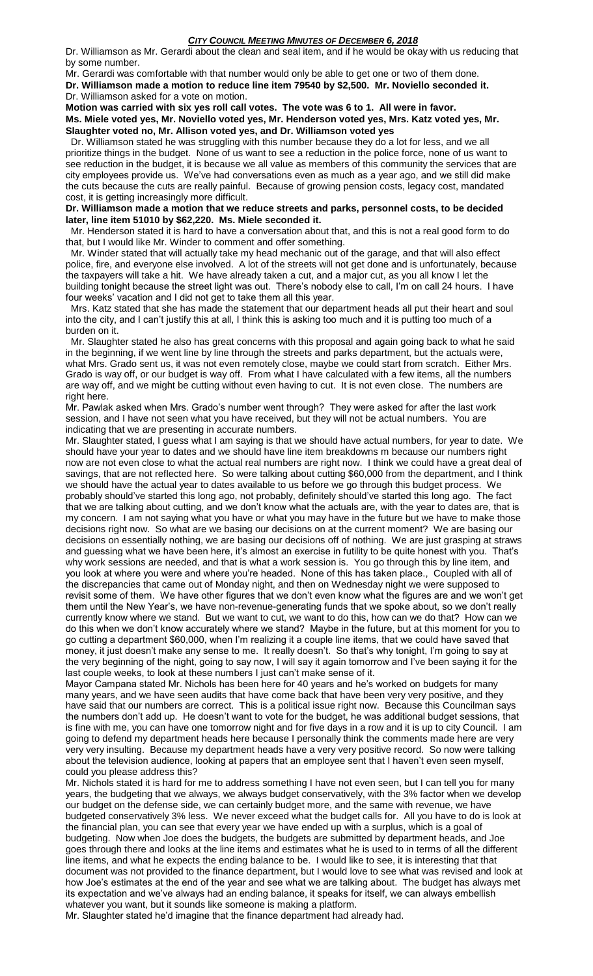Dr. Williamson as Mr. Gerardi about the clean and seal item, and if he would be okay with us reducing that by some number.

Mr. Gerardi was comfortable with that number would only be able to get one or two of them done. **Dr. Williamson made a motion to reduce line item 79540 by \$2,500. Mr. Noviello seconded it.** Dr. Williamson asked for a vote on motion.

**Motion was carried with six yes roll call votes. The vote was 6 to 1. All were in favor. Ms. Miele voted yes, Mr. Noviello voted yes, Mr. Henderson voted yes, Mrs. Katz voted yes, Mr. Slaughter voted no, Mr. Allison voted yes, and Dr. Williamson voted yes**

 Dr. Williamson stated he was struggling with this number because they do a lot for less, and we all prioritize things in the budget. None of us want to see a reduction in the police force, none of us want to see reduction in the budget, it is because we all value as members of this community the services that are city employees provide us. We've had conversations even as much as a year ago, and we still did make the cuts because the cuts are really painful. Because of growing pension costs, legacy cost, mandated cost, it is getting increasingly more difficult.

**Dr. Williamson made a motion that we reduce streets and parks, personnel costs, to be decided later, line item 51010 by \$62,220. Ms. Miele seconded it.** 

 Mr. Henderson stated it is hard to have a conversation about that, and this is not a real good form to do that, but I would like Mr. Winder to comment and offer something.

 Mr. Winder stated that will actually take my head mechanic out of the garage, and that will also effect police, fire, and everyone else involved. A lot of the streets will not get done and is unfortunately, because the taxpayers will take a hit. We have already taken a cut, and a major cut, as you all know I let the building tonight because the street light was out. There's nobody else to call, I'm on call 24 hours. I have four weeks' vacation and I did not get to take them all this year.

 Mrs. Katz stated that she has made the statement that our department heads all put their heart and soul into the city, and I can't justify this at all, I think this is asking too much and it is putting too much of a burden on it.

 Mr. Slaughter stated he also has great concerns with this proposal and again going back to what he said in the beginning, if we went line by line through the streets and parks department, but the actuals were, what Mrs. Grado sent us, it was not even remotely close, maybe we could start from scratch. Either Mrs. Grado is way off, or our budget is way off. From what I have calculated with a few items, all the numbers are way off, and we might be cutting without even having to cut. It is not even close. The numbers are right here.

Mr. Pawlak asked when Mrs. Grado's number went through? They were asked for after the last work session, and I have not seen what you have received, but they will not be actual numbers. You are indicating that we are presenting in accurate numbers.

Mr. Slaughter stated, I guess what I am saying is that we should have actual numbers, for year to date. We should have your year to dates and we should have line item breakdowns m because our numbers right now are not even close to what the actual real numbers are right now. I think we could have a great deal of savings, that are not reflected here. So were talking about cutting \$60,000 from the department, and I think we should have the actual year to dates available to us before we go through this budget process. We probably should've started this long ago, not probably, definitely should've started this long ago. The fact that we are talking about cutting, and we don't know what the actuals are, with the year to dates are, that is my concern. I am not saying what you have or what you may have in the future but we have to make those decisions right now. So what are we basing our decisions on at the current moment? We are basing our decisions on essentially nothing, we are basing our decisions off of nothing. We are just grasping at straws and guessing what we have been here, it's almost an exercise in futility to be quite honest with you. That's why work sessions are needed, and that is what a work session is. You go through this by line item, and you look at where you were and where you're headed. None of this has taken place., Coupled with all of the discrepancies that came out of Monday night, and then on Wednesday night we were supposed to revisit some of them. We have other figures that we don't even know what the figures are and we won't get them until the New Year's, we have non-revenue-generating funds that we spoke about, so we don't really currently know where we stand. But we want to cut, we want to do this, how can we do that? How can we do this when we don't know accurately where we stand? Maybe in the future, but at this moment for you to go cutting a department \$60,000, when I'm realizing it a couple line items, that we could have saved that money, it just doesn't make any sense to me. It really doesn't. So that's why tonight, I'm going to say at the very beginning of the night, going to say now, I will say it again tomorrow and I've been saying it for the last couple weeks, to look at these numbers I just can't make sense of it.

Mayor Campana stated Mr. Nichols has been here for 40 years and he's worked on budgets for many many years, and we have seen audits that have come back that have been very very positive, and they have said that our numbers are correct. This is a political issue right now. Because this Councilman says the numbers don't add up. He doesn't want to vote for the budget, he was additional budget sessions, that is fine with me, you can have one tomorrow night and for five days in a row and it is up to city Council. I am going to defend my department heads here because I personally think the comments made here are very very very insulting. Because my department heads have a very very positive record. So now were talking about the television audience, looking at papers that an employee sent that I haven't even seen myself, could you please address this?

Mr. Nichols stated it is hard for me to address something I have not even seen, but I can tell you for many years, the budgeting that we always, we always budget conservatively, with the 3% factor when we develop our budget on the defense side, we can certainly budget more, and the same with revenue, we have budgeted conservatively 3% less. We never exceed what the budget calls for. All you have to do is look at the financial plan, you can see that every year we have ended up with a surplus, which is a goal of budgeting. Now when Joe does the budgets, the budgets are submitted by department heads, and Joe goes through there and looks at the line items and estimates what he is used to in terms of all the different line items, and what he expects the ending balance to be. I would like to see, it is interesting that that document was not provided to the finance department, but I would love to see what was revised and look at how Joe's estimates at the end of the year and see what we are talking about. The budget has always met its expectation and we've always had an ending balance, it speaks for itself, we can always embellish whatever you want, but it sounds like someone is making a platform.

Mr. Slaughter stated he'd imagine that the finance department had already had.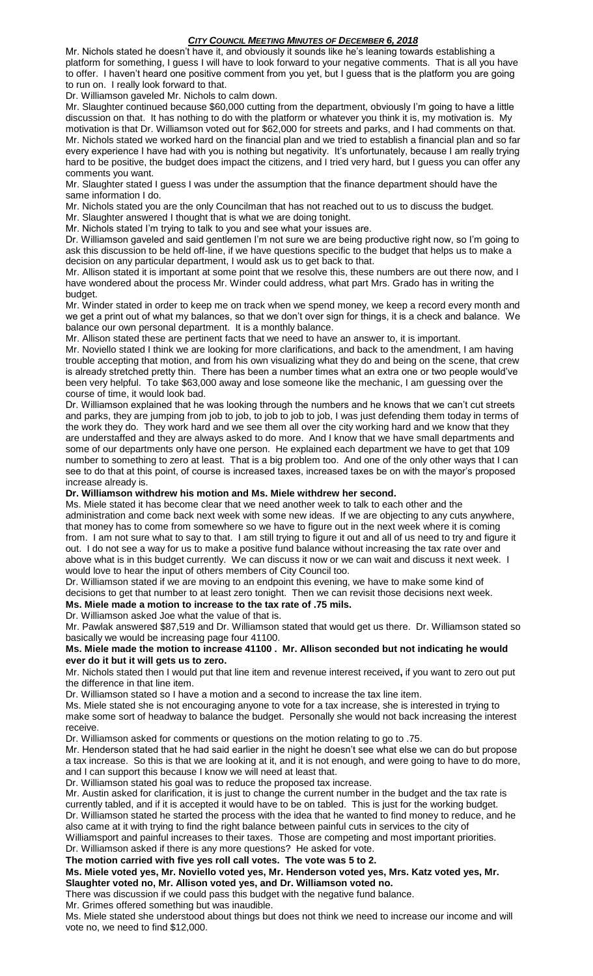Mr. Nichols stated he doesn't have it, and obviously it sounds like he's leaning towards establishing a platform for something, I guess I will have to look forward to your negative comments. That is all you have to offer. I haven't heard one positive comment from you yet, but I guess that is the platform you are going to run on. I really look forward to that.

Dr. Williamson gaveled Mr. Nichols to calm down.

Mr. Slaughter continued because \$60,000 cutting from the department, obviously I'm going to have a little discussion on that. It has nothing to do with the platform or whatever you think it is, my motivation is. My motivation is that Dr. Williamson voted out for \$62,000 for streets and parks, and I had comments on that. Mr. Nichols stated we worked hard on the financial plan and we tried to establish a financial plan and so far every experience I have had with you is nothing but negativity. It's unfortunately, because I am really trying hard to be positive, the budget does impact the citizens, and I tried very hard, but I guess you can offer any comments you want.

Mr. Slaughter stated I guess I was under the assumption that the finance department should have the same information I do.

Mr. Nichols stated you are the only Councilman that has not reached out to us to discuss the budget.

Mr. Slaughter answered I thought that is what we are doing tonight.

Mr. Nichols stated I'm trying to talk to you and see what your issues are.

Dr. Williamson gaveled and said gentlemen I'm not sure we are being productive right now, so I'm going to ask this discussion to be held off-line, if we have questions specific to the budget that helps us to make a decision on any particular department, I would ask us to get back to that.

Mr. Allison stated it is important at some point that we resolve this, these numbers are out there now, and I have wondered about the process Mr. Winder could address, what part Mrs. Grado has in writing the budget.

Mr. Winder stated in order to keep me on track when we spend money, we keep a record every month and we get a print out of what my balances, so that we don't over sign for things, it is a check and balance. We balance our own personal department. It is a monthly balance.

Mr. Allison stated these are pertinent facts that we need to have an answer to, it is important.

Mr. Noviello stated I think we are looking for more clarifications, and back to the amendment, I am having trouble accepting that motion, and from his own visualizing what they do and being on the scene, that crew is already stretched pretty thin. There has been a number times what an extra one or two people would've been very helpful. To take \$63,000 away and lose someone like the mechanic, I am guessing over the course of time, it would look bad.

Dr. Williamson explained that he was looking through the numbers and he knows that we can't cut streets and parks, they are jumping from job to job, to job to job to job, I was just defending them today in terms of the work they do. They work hard and we see them all over the city working hard and we know that they are understaffed and they are always asked to do more. And I know that we have small departments and some of our departments only have one person. He explained each department we have to get that 109 number to something to zero at least. That is a big problem too. And one of the only other ways that I can see to do that at this point, of course is increased taxes, increased taxes be on with the mayor's proposed increase already is.

## **Dr. Williamson withdrew his motion and Ms. Miele withdrew her second.**

Ms. Miele stated it has become clear that we need another week to talk to each other and the administration and come back next week with some new ideas. If we are objecting to any cuts anywhere, that money has to come from somewhere so we have to figure out in the next week where it is coming from. I am not sure what to say to that. I am still trying to figure it out and all of us need to try and figure it out. I do not see a way for us to make a positive fund balance without increasing the tax rate over and above what is in this budget currently. We can discuss it now or we can wait and discuss it next week. I would love to hear the input of others members of City Council too.

Dr. Williamson stated if we are moving to an endpoint this evening, we have to make some kind of decisions to get that number to at least zero tonight. Then we can revisit those decisions next week.

#### **Ms. Miele made a motion to increase to the tax rate of .75 mils.** Dr. Williamson asked Joe what the value of that is.

Mr. Pawlak answered \$87,519 and Dr. Williamson stated that would get us there. Dr. Williamson stated so basically we would be increasing page four 41100.

## **Ms. Miele made the motion to increase 41100 . Mr. Allison seconded but not indicating he would ever do it but it will gets us to zero.**

Mr. Nichols stated then I would put that line item and revenue interest received**,** if you want to zero out put the difference in that line item.

Dr. Williamson stated so I have a motion and a second to increase the tax line item.

Ms. Miele stated she is not encouraging anyone to vote for a tax increase, she is interested in trying to make some sort of headway to balance the budget. Personally she would not back increasing the interest receive.

Dr. Williamson asked for comments or questions on the motion relating to go to .75.

Mr. Henderson stated that he had said earlier in the night he doesn't see what else we can do but propose a tax increase. So this is that we are looking at it, and it is not enough, and were going to have to do more, and I can support this because I know we will need at least that.

Dr. Williamson stated his goal was to reduce the proposed tax increase.

Mr. Austin asked for clarification, it is just to change the current number in the budget and the tax rate is currently tabled, and if it is accepted it would have to be on tabled. This is just for the working budget. Dr. Williamson stated he started the process with the idea that he wanted to find money to reduce, and he also came at it with trying to find the right balance between painful cuts in services to the city of

Williamsport and painful increases to their taxes. Those are competing and most important priorities. Dr. Williamson asked if there is any more questions? He asked for vote.

**The motion carried with five yes roll call votes. The vote was 5 to 2.**

## **Ms. Miele voted yes, Mr. Noviello voted yes, Mr. Henderson voted yes, Mrs. Katz voted yes, Mr. Slaughter voted no, Mr. Allison voted yes, and Dr. Williamson voted no.**

There was discussion if we could pass this budget with the negative fund balance.

Mr. Grimes offered something but was inaudible.

Ms. Miele stated she understood about things but does not think we need to increase our income and will vote no, we need to find \$12,000.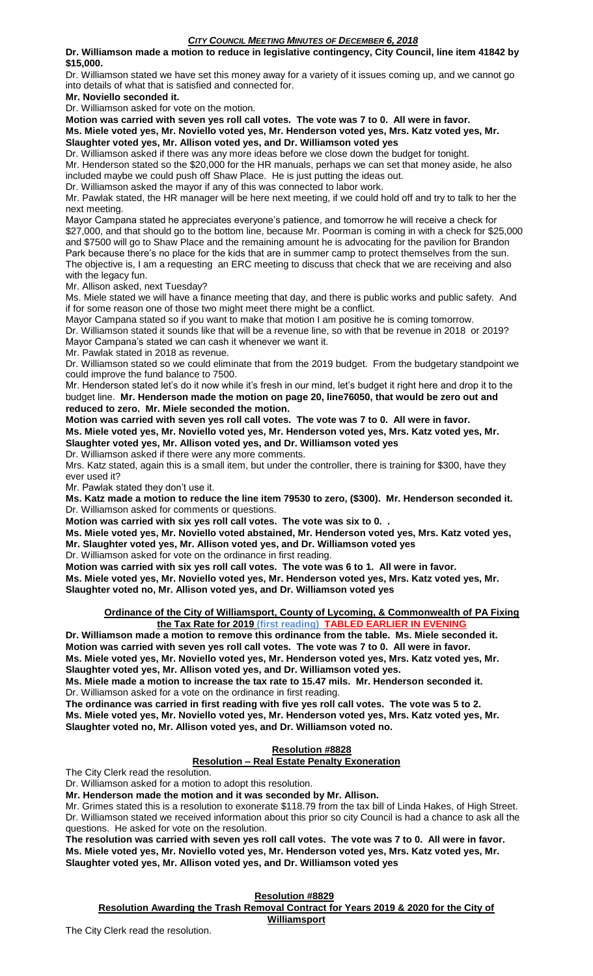**Dr. Williamson made a motion to reduce in legislative contingency, City Council, line item 41842 by \$15,000.**

Dr. Williamson stated we have set this money away for a variety of it issues coming up, and we cannot go into details of what that is satisfied and connected for.

**Mr. Noviello seconded it.**

Dr. Williamson asked for vote on the motion.

**Motion was carried with seven yes roll call votes. The vote was 7 to 0. All were in favor. Ms. Miele voted yes, Mr. Noviello voted yes, Mr. Henderson voted yes, Mrs. Katz voted yes, Mr. Slaughter voted yes, Mr. Allison voted yes, and Dr. Williamson voted yes**

Dr. Williamson asked if there was any more ideas before we close down the budget for tonight.

Mr. Henderson stated so the \$20,000 for the HR manuals, perhaps we can set that money aside, he also included maybe we could push off Shaw Place. He is just putting the ideas out.

Dr. Williamson asked the mayor if any of this was connected to labor work.

Mr. Pawlak stated, the HR manager will be here next meeting, if we could hold off and try to talk to her the next meeting.

Mayor Campana stated he appreciates everyone's patience, and tomorrow he will receive a check for \$27,000, and that should go to the bottom line, because Mr. Poorman is coming in with a check for \$25,000 and \$7500 will go to Shaw Place and the remaining amount he is advocating for the pavilion for Brandon Park because there's no place for the kids that are in summer camp to protect themselves from the sun. The objective is, I am a requesting an ERC meeting to discuss that check that we are receiving and also with the legacy fun.

Mr. Allison asked, next Tuesday?

Ms. Miele stated we will have a finance meeting that day, and there is public works and public safety. And if for some reason one of those two might meet there might be a conflict.

Mayor Campana stated so if you want to make that motion I am positive he is coming tomorrow.

Dr. Williamson stated it sounds like that will be a revenue line, so with that be revenue in 2018 or 2019? Mayor Campana's stated we can cash it whenever we want it.

Mr. Pawlak stated in 2018 as revenue.

Dr. Williamson stated so we could eliminate that from the 2019 budget. From the budgetary standpoint we could improve the fund balance to 7500.

Mr. Henderson stated let's do it now while it's fresh in our mind, let's budget it right here and drop it to the budget line. **Mr. Henderson made the motion on page 20, line76050, that would be zero out and reduced to zero. Mr. Miele seconded the motion.**

**Motion was carried with seven yes roll call votes. The vote was 7 to 0. All were in favor. Ms. Miele voted yes, Mr. Noviello voted yes, Mr. Henderson voted yes, Mrs. Katz voted yes, Mr. Slaughter voted yes, Mr. Allison voted yes, and Dr. Williamson voted yes**

Dr. Williamson asked if there were any more comments.

Mrs. Katz stated, again this is a small item, but under the controller, there is training for \$300, have they ever used it?

Mr. Pawlak stated they don't use it.

**Ms. Katz made a motion to reduce the line item 79530 to zero, (\$300). Mr. Henderson seconded it.** Dr. Williamson asked for comments or questions.

**Motion was carried with six yes roll call votes. The vote was six to 0. .**

**Ms. Miele voted yes, Mr. Noviello voted abstained, Mr. Henderson voted yes, Mrs. Katz voted yes, Mr. Slaughter voted yes, Mr. Allison voted yes, and Dr. Williamson voted yes**

Dr. Williamson asked for vote on the ordinance in first reading.

**Motion was carried with six yes roll call votes. The vote was 6 to 1. All were in favor. Ms. Miele voted yes, Mr. Noviello voted yes, Mr. Henderson voted yes, Mrs. Katz voted yes, Mr. Slaughter voted no, Mr. Allison voted yes, and Dr. Williamson voted yes**

**Ordinance of the City of Williamsport, County of Lycoming, & Commonwealth of PA Fixing the Tax Rate for 2019 (first reading) TABLED EARLIER IN EVENING**

**Dr. Williamson made a motion to remove this ordinance from the table. Ms. Miele seconded it. Motion was carried with seven yes roll call votes. The vote was 7 to 0. All were in favor.**

**Ms. Miele voted yes, Mr. Noviello voted yes, Mr. Henderson voted yes, Mrs. Katz voted yes, Mr. Slaughter voted yes, Mr. Allison voted yes, and Dr. Williamson voted yes.**

**Ms. Miele made a motion to increase the tax rate to 15.47 mils. Mr. Henderson seconded it.** Dr. Williamson asked for a vote on the ordinance in first reading.

**The ordinance was carried in first reading with five yes roll call votes. The vote was 5 to 2. Ms. Miele voted yes, Mr. Noviello voted yes, Mr. Henderson voted yes, Mrs. Katz voted yes, Mr. Slaughter voted no, Mr. Allison voted yes, and Dr. Williamson voted no.**

#### **Resolution #8828 Resolution – Real Estate Penalty Exoneration**

The City Clerk read the resolution.

Dr. Williamson asked for a motion to adopt this resolution.

**Mr. Henderson made the motion and it was seconded by Mr. Allison.**

Mr. Grimes stated this is a resolution to exonerate \$118.79 from the tax bill of Linda Hakes, of High Street. Dr. Williamson stated we received information about this prior so city Council is had a chance to ask all the questions. He asked for vote on the resolution.

**The resolution was carried with seven yes roll call votes. The vote was 7 to 0. All were in favor. Ms. Miele voted yes, Mr. Noviello voted yes, Mr. Henderson voted yes, Mrs. Katz voted yes, Mr. Slaughter voted yes, Mr. Allison voted yes, and Dr. Williamson voted yes**

# **Resolution #8829**

**Resolution Awarding the Trash Removal Contract for Years 2019 & 2020 for the City of Williamsport**

The City Clerk read the resolution.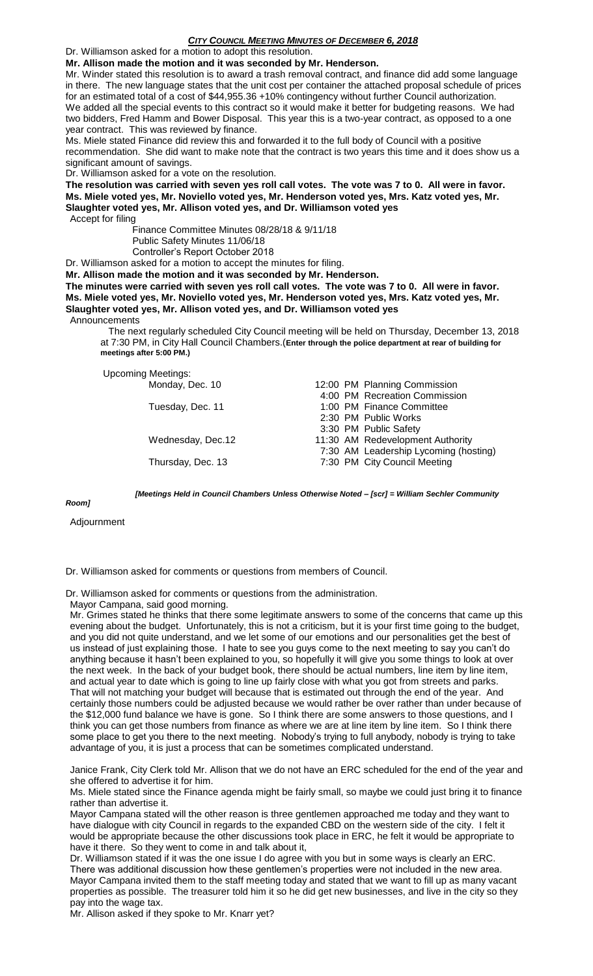Dr. Williamson asked for a motion to adopt this resolution.

**Mr. Allison made the motion and it was seconded by Mr. Henderson.**

Mr. Winder stated this resolution is to award a trash removal contract, and finance did add some language in there. The new language states that the unit cost per container the attached proposal schedule of prices for an estimated total of a cost of \$44,955.36 +10% contingency without further Council authorization. We added all the special events to this contract so it would make it better for budgeting reasons. We had two bidders, Fred Hamm and Bower Disposal. This year this is a two-year contract, as opposed to a one year contract. This was reviewed by finance.

Ms. Miele stated Finance did review this and forwarded it to the full body of Council with a positive recommendation. She did want to make note that the contract is two years this time and it does show us a significant amount of savings.

Dr. Williamson asked for a vote on the resolution.

**The resolution was carried with seven yes roll call votes. The vote was 7 to 0. All were in favor. Ms. Miele voted yes, Mr. Noviello voted yes, Mr. Henderson voted yes, Mrs. Katz voted yes, Mr. Slaughter voted yes, Mr. Allison voted yes, and Dr. Williamson voted yes**

Accept for filing

 Finance Committee Minutes 08/28/18 & 9/11/18 Public Safety Minutes 11/06/18 Controller's Report October 2018

Dr. Williamson asked for a motion to accept the minutes for filing.

**Mr. Allison made the motion and it was seconded by Mr. Henderson.**

**The minutes were carried with seven yes roll call votes. The vote was 7 to 0. All were in favor. Ms. Miele voted yes, Mr. Noviello voted yes, Mr. Henderson voted yes, Mrs. Katz voted yes, Mr. Slaughter voted yes, Mr. Allison voted yes, and Dr. Williamson voted yes**

Announcements

 The next regularly scheduled City Council meeting will be held on Thursday, December 13, 2018 at 7:30 PM, in City Hall Council Chambers.(**Enter through the police department at rear of building for meetings after 5:00 PM.)**

Upcoming Meetings:

| Monday, Dec. 10   |  | 12:00 PM Planning Commission          |
|-------------------|--|---------------------------------------|
|                   |  | 4:00 PM Recreation Commission         |
| Tuesday, Dec. 11  |  | 1:00 PM Finance Committee             |
|                   |  | 2:30 PM Public Works                  |
|                   |  | 3:30 PM Public Safety                 |
| Wednesday, Dec.12 |  | 11:30 AM Redevelopment Authority      |
|                   |  | 7:30 AM Leadership Lycoming (hosting) |
| Thursday, Dec. 13 |  | 7:30 PM City Council Meeting          |
|                   |  |                                       |

*Room]*

*[Meetings Held in Council Chambers Unless Otherwise Noted – [scr] = William Sechler Community* 

Adjournment

Dr. Williamson asked for comments or questions from members of Council.

Dr. Williamson asked for comments or questions from the administration.

Mayor Campana, said good morning.

Mr. Grimes stated he thinks that there some legitimate answers to some of the concerns that came up this evening about the budget. Unfortunately, this is not a criticism, but it is your first time going to the budget, and you did not quite understand, and we let some of our emotions and our personalities get the best of us instead of just explaining those. I hate to see you guys come to the next meeting to say you can't do anything because it hasn't been explained to you, so hopefully it will give you some things to look at over the next week. In the back of your budget book, there should be actual numbers, line item by line item, and actual year to date which is going to line up fairly close with what you got from streets and parks. That will not matching your budget will because that is estimated out through the end of the year. And certainly those numbers could be adjusted because we would rather be over rather than under because of the \$12,000 fund balance we have is gone. So I think there are some answers to those questions, and I think you can get those numbers from finance as where we are at line item by line item. So I think there some place to get you there to the next meeting. Nobody's trying to full anybody, nobody is trying to take advantage of you, it is just a process that can be sometimes complicated understand.

Janice Frank, City Clerk told Mr. Allison that we do not have an ERC scheduled for the end of the year and she offered to advertise it for him.

Ms. Miele stated since the Finance agenda might be fairly small, so maybe we could just bring it to finance rather than advertise it.

Mayor Campana stated will the other reason is three gentlemen approached me today and they want to have dialogue with city Council in regards to the expanded CBD on the western side of the city. I felt it would be appropriate because the other discussions took place in ERC, he felt it would be appropriate to have it there. So they went to come in and talk about it,

Dr. Williamson stated if it was the one issue I do agree with you but in some ways is clearly an ERC. There was additional discussion how these gentlemen's properties were not included in the new area. Mayor Campana invited them to the staff meeting today and stated that we want to fill up as many vacant properties as possible. The treasurer told him it so he did get new businesses, and live in the city so they pay into the wage tax.

Mr. Allison asked if they spoke to Mr. Knarr yet?